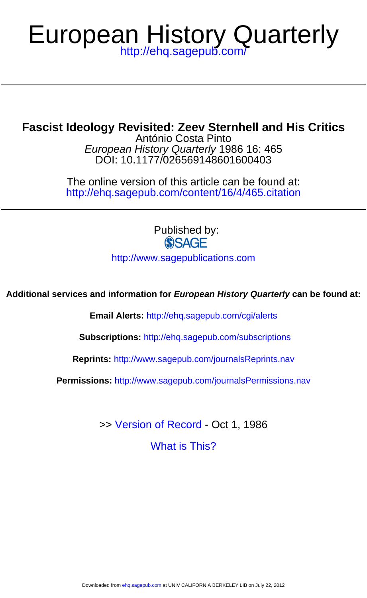# <http://ehq.sagepub.com/> European History Quarterly

**Fascist Ideology Revisited: Zeev Sternhell and His Critics**

DOI: 10.1177/026569148601600403 European History Quarterly 1986 16: 465 António Costa Pinto

<http://ehq.sagepub.com/content/16/4/465.citation> The online version of this article can be found at:

Published by:<br>
SAGE

<http://www.sagepublications.com>

**Additional services and information for European History Quarterly can be found at:**

**Email Alerts:** <http://ehq.sagepub.com/cgi/alerts>

**Subscriptions:** <http://ehq.sagepub.com/subscriptions>

**Reprints:** <http://www.sagepub.com/journalsReprints.nav>

**Permissions:** <http://www.sagepub.com/journalsPermissions.nav>

>> [Version of Record -](http://ehq.sagepub.com/content/16/4/465.full.pdf) Oct 1, 1986

[What is This?](http://online.sagepub.com/site/sphelp/vorhelp.xhtml)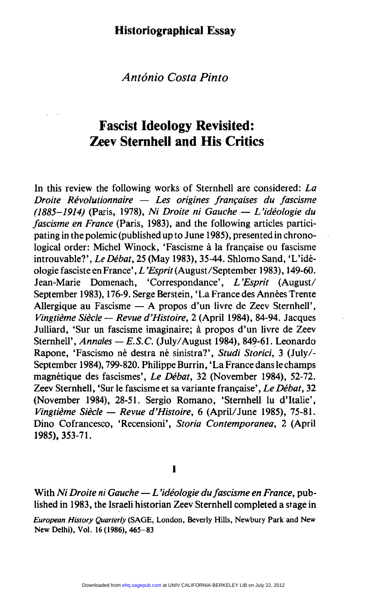### Historiographical Essay

António Costa Pinto

## Fascist Ideology Revisited: Zeev Sternhell and His Critics

In this review the following works of Sternhell are considered: La Droite Révolutionnaire  $-$  Les origines françaises du fascisme (1885-1914) (Paris, 1978), Ni Droite ni Gauche - L'idéologie du fascisme en France (Paris, 1983), and the following articles participating in the polemic (published up to June 1985), presented in chronological order: Michel Winock, 'Fascisme à la française ou fascisme introuvable?', *Le Débat*, 25 (May 1983), 35-44. Shlomo Sand, 'L'idéologie fasciste en France', L'Esprit (August/September 1983),149-60. Jean-Marie Domenach, 'Correspondance', L'Esprit (August/ September 1983), 176-9. Serge Berstein, 'La France des Années Trente Allergique au Fascisme  $-$  A propos d'un livre de Zeev Sternhell', Vingtième Siècle - Revue d'Histoire, 2 (April 1984), 84-94. Jacques Julliard, 'Sur un fascisme imaginaire; à propos d'un livre de Zeev Sternhell', Annales  $-E.S.C.$  (July/August 1984), 849-61. Leonardo Rapone, 'Fascismo né destra né sinistra?', Studi Storici, 3 (July/-September 1984), 799-820. Philippe Burrin, 'La France dans le champs magnetique des fascismes', Le Débat, 32 (November 1984), 52-72. Zeev Sternhell, 'Sur le fascisme et sa variante française', Le Débat, 32 (November 1984), 28-51. Sergio Romano, 'Sternhell lu d'Italie', Vingtième Siècle — Revue d'Histoire, 6 (April/June 1985), 75-81. Dino Cofrancesco, 'Recensioni', Storia Contemporanea, 2 (April 1985), 353-71.

I

With Ni Droite ni Gauche  $-L$ 'idéologie du fascisme en France, published in 1983, the Israeli historian Zeev Sternhell completed a stage in

New Delhi), Vol. 16 (1986), 465–83 European History Quarterly (SAGE, London, Beverly Hills, Newbury Park and New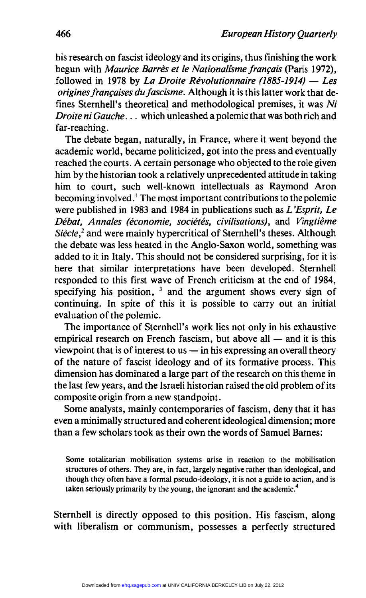his research on fascist ideology and its origins, thus finishing the work begun with Maurice Barrès et le Nationalisme français (Paris 1972), followed in 1978 by La Droite Révolutionnaire (1885-1914) - Les origines françaises du fascisme. Although it is this latter work that defines Sternhell's theoretical and methodological premises, it was Ni Droite ni Gauche... which unleashed a polemic that was both rich and far-reaching.

The debate began, naturally, in France, where it went beyond the academic world, became politicized, got into the press and eventually reached the courts. A certain personage who objected to the role given him by the historian took a relatively unprecedented attitude in taking him to court, such well-known intellectuals as Raymond Aron becoming involved.' The most important contributions to the polemic were published in 1983 and 1984 in publications such as L'Esprit, Le Débat, Annales (économie, sociétés, civilisations), and Vingtième  $Si\acute{e}cle$ <sup>2</sup> and were mainly hypercritical of Sternhell's theses. Although the debate was less heated in the Anglo-Saxon world, something was added to it in Italy. This should not be considered surprising, for it is here that similar interpretations have been developed. Sternhell responded to this first wave of French criticism at the end of 1984, specifying his position,  $3$  and the argument shows every sign of continuing. In spite of this it is possible to carry out an initial evaluation of the polemic.

The importance of Sternhell's work lies not only in his exhaustive empirical research on French fascism, but above all  $-$  and it is this viewpoint that is of interest to us  $-$  in his expressing an overall theory of the nature of fascist ideology and of its formative process. This dimension has dominated a large part of the research on this theme in the last few years, and the Israeli historian raised the old problem of its composite origin from a new standpoint.

Some analysts, mainly contemporaries of fascism, deny that it has even a minimally structured and coherent ideological dimension; more than a few scholars took as their own the words of Samuel Barnes:

Some totalitarian mobilisation systems arise in reaction to the mobilisation structures of others. They are, in fact, largely negative rather than ideological, and though they often have a formal pseudo-ideology, it is not a guide to action, and is taken seriously primarily by the young, the ignorant and the academic.4

Sternhell is directly opposed to this position. His fascism, along with liberalism or communism, possesses a perfectly structured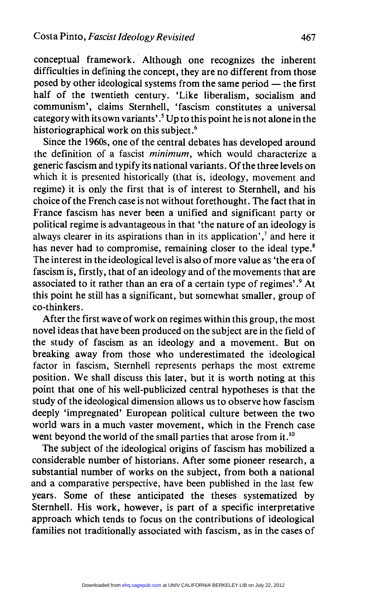conceptual framework. Although one recognizes the inherent difficulties in defining the concept, they are no different from those posed by other ideological systems from the same period — the first half of the twentieth century. 'Like liberalism, socialism and communism', claims Sternhell, 'fascism constitutes a universal category with its own variants' .5 Up to this point he is not alone in the historiographical work on this subject.<sup>6</sup>

Since the 1960s, one of the central debates has developed around the definition of a fascist minimum, which would characterize a generic fascism and typify its national variants. Of the three levels on which it is presented historically (that is, ideology, movement and regime) it is only the first that is of interest to Sternhell, and his choice of the French case is not without forethought. The fact that in France fascism has never been a unified and significant party or political regime is advantageous in that 'the nature of an ideology is always clearer in its aspirations than in its application',' and here it has never had to compromise, remaining closer to the ideal type.<sup>8</sup> The interest in the ideological level is also of more value as 'the era of fascism is, firstly, that of an ideology and of the movements that are associated to it rather than an era of a certain type of regimes'.9 At this point he still has a significant, but somewhat smaller, group of co-thinkers.

After the first wave of work on regimes within this group, the most novel ideas that have been produced on the subject are in the field of the study of fascism as an ideology and a movement. But on breaking away from those who underestimated the ideological factor in fascism, Sternhell represents perhaps the most extreme position. We shall discuss this later, but it is worth noting at this point that one of his well-publicized central hypotheses is that the study of the ideological dimension allows us to observe how fascism deeply 'impregnated' European political culture between the two world wars in a much vaster movement, which in the French case went beyond the world of the small parties that arose from it.<sup>10</sup>

The subject of the ideological origins of fascism has mobilized a considerable number of historians. After some pioneer research, a substantial number of works on the subject, from both a national and a comparative perspective, have been published in the last few years. Some of these anticipated the theses systematized by Sternhell. His work, however, is part of a specific interpretative approach which tends to focus on the contributions of ideological families not traditionally associated with fascism, as in the cases of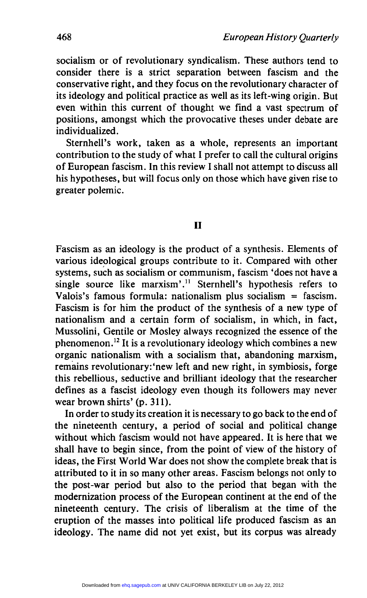socialism or of revolutionary syndicalism. These authors tend to consider there is a strict separation between fascism and the conservative right, and they focus on the revolutionary character of its ideology and political practice as well as its left-wing origin. But even within this current of thought we find a vast spectrum of positions, amongst which the provocative theses under debate are individualized.

Sternhell's work, taken as a whole, represents an important contribution to the study of what I prefer to call the cultural origins of European fascism. In this review I shall not attempt to discuss all his hypotheses, but will focus only on those which have given rise to greater polemic.

#### II

Fascism as an ideology is the product of a synthesis. Elements of various ideological groups contribute to it. Compared with other systems, such as socialism or communism, fascism 'does not have a single source like marxism'.<sup>11</sup> Sternhell's hypothesis refers to Valois's famous formula: nationalism plus socialism = fascism. Fascism is for him the product of the synthesis of a new type of nationalism and a certain form of socialism, in which, in fact, Mussolini, Gentile or Mosley always recognized the essence of the phenomenon.<sup>12</sup> It is a revolutionary ideology which combines a new organic nationalism with a socialism that, abandoning marxism, remains revolutionary:'new left and new right, in symbiosis, forge this rebellious, seductive and brilliant ideology that the researcher defines as a fascist ideology even though its followers may never wear brown shirts' (p. 311).

In order to study its creation it is necessary to go back to the end of the nineteenth century, a period of social and political change without which fascism would not have appeared. It is here that we shall have to begin since, from the point of view of the history of ideas, the First World War does not show the complete break that is attributed to it in so many other areas. Fascism belongs not only to the post-war period but also to the period that began with the modernization process of the European continent at the end of the nineteenth century. The crisis of liberalism at the time of the eruption of the masses into political life produced fascism as an ideology. The name did not yet exist, but its corpus was already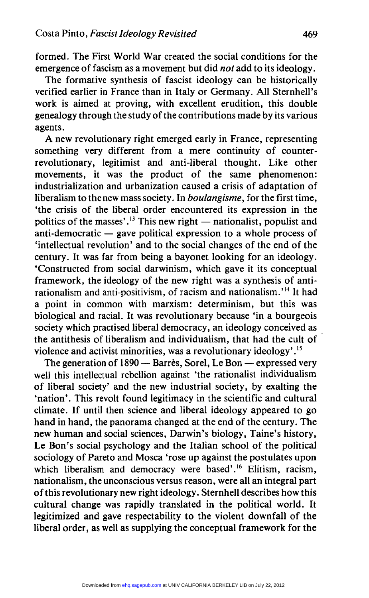formed. The First World War created the social conditions for the emergence of fascism as a movement but did not add to its ideology.

The formative synthesis of fascist ideology can be historically verified earlier in France than in Italy or Germany. All Sternhell's work is aimed at proving, with excellent erudition, this double genealogy through the study of the contributions made by its various agents.

A new revolutionary right emerged early in France, representing something very different from a mere continuity of counterrevolutionary, legitimist and anti-liberal thought. Like other movements, it was the product of the same phenomenon: industrialization and urbanization caused a crisis of adaptation of liberalism to the new mass society. In *boulangisme*, for the first time, 'the crisis of the liberal order encountered its expression in the politics of the masses'.<sup>13</sup> This new right  $-$  nationalist, populist and pointes of the masses : This new right – nationalist, popular and<br>anti-democratic – gave political expression to a whole process of 'intellectual revolution' and to the social changes of the end of the century. It was far from being a bayonet looking for an ideology. 'Constructed from social darwinism, which gave it its conceptual framework, the ideology of the new right was a synthesis of antirationalism and anti-positivism, of racism and nationalism. '14 It had a point in common with marxism: determinism, but this was biological and racial. It was revolutionary because 'in a bourgeois society which practised liberal democracy, an ideology conceived as the antithesis of liberalism and individualism, that had the cult of violence and activist minorities, was a revolutionary ideology'.<sup>15</sup>

The generation of 1890 - Barrès, Sorel, Le Bon - expressed very well this intellectual rebellion against 'the rationalist individualism of liberal society' and the new industrial society, by exalting the 'nation'. This revolt found legitimacy in the scientific and cultural climate. If until then science and liberal ideology appeared to go hand in hand, the panorama changed at the end of the century. The new human and social sciences, Darwin's biology, Taine's history, Le Bon's social psychology and the Italian school of the political sociology of Pareto and Mosca 'rose up against the postulates upon which liberalism and democracy were based'.<sup>16</sup> Elitism, racism, nationalism, the unconscious versus reason, were all an integral part of this revolutionary new right ideology. Sternhell describes how this cultural change was rapidly translated in the political world. It legitimized and gave respectability to the violent downfall of the liberal order, as well as supplying the conceptual framework for the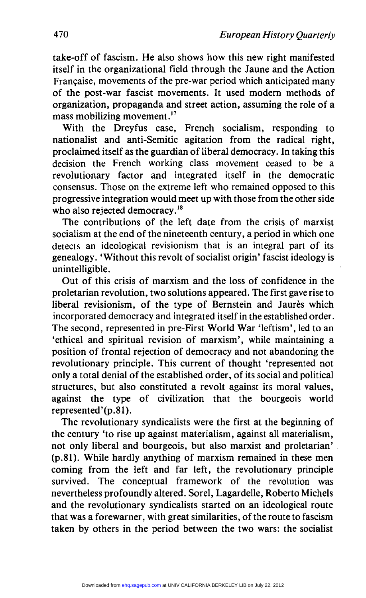take-off of fascism. He also shows how this new right manifested itself in the organizational field through the Jaune and the Action Française, movements of the pre-war period which anticipated many of the post-war fascist movements. It used modern methods of organization, propaganda and street action, assuming the role of a mass mobilizing movement. $^{17}$ 

With the Dreyfus case, French socialism, responding to nationalist and anti-Semitic agitation from the radical right, proclaimed itself as the guardian of liberal democracy. In taking this decision the French working class movement ceased to be a revolutionary factor and integrated itself in the democratic consensus. Those on the extreme left who remained opposed to this progressive integration would meet up with those from the other side who also rejected democracy.<sup>18</sup>

The contributions of the left date from the crisis of marxist socialism at the end of the nineteenth century, a period in which one detects an ideological revisionism that is an integral part of its genealogy. 'Without this revolt of socialist origin' fascist ideology is unintelligible.

Out of this crisis of marxism and the loss of confidence in the proletarian revolution, two solutions appeared. The first gave rise to liberal revisionism, of the type of Bernstein and Jaurès which incorporated democracy and integrated itself in the established order. The second, represented in pre-First World War 'leftism', led to an 'ethical and spiritual revision of marxism', while maintaining a position of frontal rejection of democracy and not abandoning the revolutionary principle. This current of thought 'represented not only a total denial of the established order, of its social and political structures, but also constituted a revolt against its moral values, against the type of civilization that the bourgeois world represented'(p.81).

The revolutionary syndicalists were the first at the beginning of the century 'to rise up against materialism, against all materialism, not only liberal and bourgeois, but also marxist and proletarian' (p.81). While hardly anything of marxism remained in these men coming from the left and far left, the revolutionary principle survived. The conceptual framework of the revolution was nevertheless profoundly altered. Sorel, Lagardelle, Roberto Michels and the revolutionary syndicalists started on an ideological route that was a forewarner, with great similarities, of the route to fascism taken by others in the period between the two wars: the socialist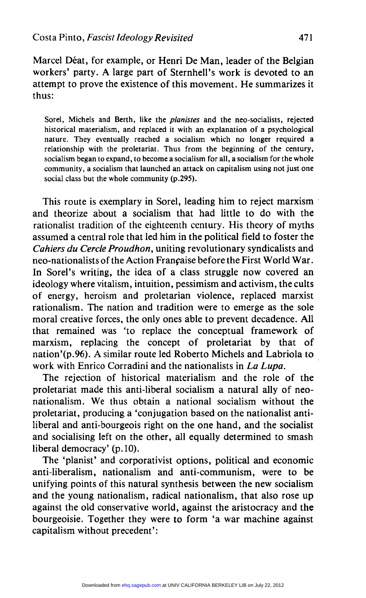Marcel Déat, for example, or Henri De Man, leader of the Belgian workers' party. A large part of Sternhell's work is devoted to an attempt to prove the existence of this movement. He summarizes it thus:

Sorel, Michels and Berth, like the *planistes* and the neo-socialists, rejected historical materialism, and replaced it with an explanation of a psychological nature. They eventually reached a socialism which no longer required a relationship with the proletariat. Thus from the beginning of the century, socialism began to expand, to become a socialism for all, a socialism for the whole community, a socialism that launched an attack on capitalism using not just one social class but the whole community (p.295).

This route is exemplary in Sorel, leading him to reject marxism and theorize about a socialism that had little to do with the rationalist tradition of the eighteenth century. His theory of myths assumed a central role that led him in the political field to foster the Cahiers du Cercle Proudhon, uniting revolutionary syndicalists and neo-nationalists of the Action Francaise before the First World War. In Sorel's writing, the idea of a class struggle now covered an ideology where vitalism, intuition, pessimism and activism, the cults of energy, heroism and proletarian violence, replaced marxist rationalism. The nation and tradition were to emerge as the sole moral creative forces, the only ones able to prevent decadence. All that remained was 'to replace the conceptual framework of marxism, replacing the concept of proletariat by that of nation'(p.96). A similar route led Roberto Michels and Labriola to work with Enrico Corradini and the nationalists in La Lupa.

The rejection of historical materialism and the role of the proletariat made this anti-liberal socialism a natural ally of neonationalism. We thus obtain a national socialism without the proletariat, producing a 'conjugation based on the nationalist antiliberal and anti-bourgeois right on the one hand, and the socialist and socialising left on the other, all equally determined to smash liberal democracy' (p.10).

The 'planist' and corporativist options, political and economic anti-liberalism, nationalism and anti-communism, were to be unifying points of this natural synthesis between the new socialism and the young nationalism, radical nationalism, that also rose up against the old conservative world, against the aristocracy and the bourgeoisie. Together they were to form 'a war machine against capitalism without precedent':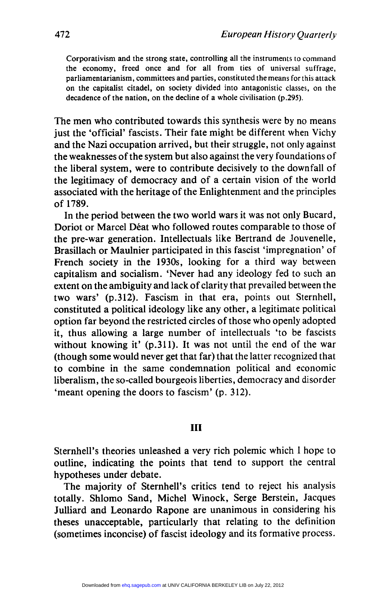Corporativism and the strong state, controlling all the instruments to command the economy, freed once and for all from ties of universal suffrage, parliamentarianism, committees and parties, constituted the means for this attack on the capitalist citadel, on society divided into antagonistic classes, on the decadence of the nation, on the decline of a whole civilisation (p.295).

The men who contributed towards this synthesis were by no means just the 'official' fascists. Their fate might be different when Vichy and the Nazi occupation arrived, but their struggle, not only against the weaknesses of the system but also against the very foundations of the liberal system, were to contribute decisively to the downfall of the legitimacy of democracy and of a certain vision of the world associated with the heritage of the Enlightenment and the principles of 1789.

In the period between the two world wars it was not only Bucard, Doriot or Marcel Déat who followed routes comparable to those of the pre-war generation. Intellectuals like Bertrand de Jouvenelle, Brasillach or Maulnier participated in this fascist 'impregnation' of French society in the 1930s, looking for a third way between capitalism and socialism. 'Never had any ideology fed to such an extent on the ambiguity and lack of clarity that prevailed between the two wars' (p.312). Fascism in that era, points out Sternhell, constituted a political ideology like any other, a legitimate political option far beyond the restricted circles of those who openly adopted it, thus allowing a large number of intellectuals 'to be fascists without knowing it' (p.311). It was not until the end of the war (though some would never get that far) that the latter recognized that to combine in the same condemnation political and economic liberalism, the so-called bourgeois liberties, democracy and disorder 'meant opening the doors to fascism' (p. 312).

#### III

Sternhell's theories unleashed a very rich polemic which I hope to outline, indicating the points that tend to support the central hypotheses under debate.

The majority of Sternhell's critics tend to reject his analysis totally. Shlomo Sand, Michel Winock, Serge Berstein, Jacques Julliard and Leonardo Rapone are unanimous in considering his theses unacceptable, particularly that relating to the definition (sometimes inconcise) of fascist ideology and its formative process.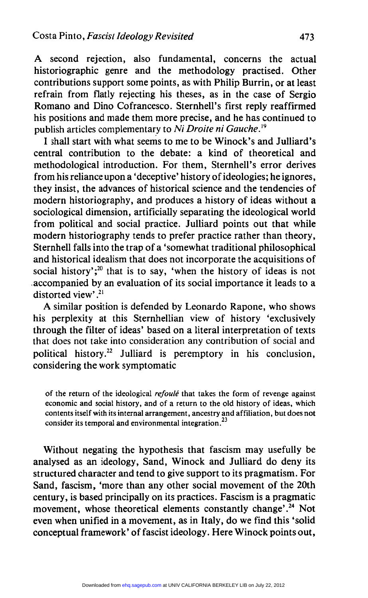A second rejection, also fundamental, concerns the actual historiographic genre and the methodology practised. Other contributions support some points, as with Philip Burrin, or at least refrain from flatly rejecting his theses, as in the case of Sergio Romano and Dino Cofrancesco. Sternhell's first reply reaffirmed his positions and made them more precise, and he has continued to publish articles complementary to Ni Droite ni Gauche.<sup>19</sup>

I shall start with what seems to me to be Winock's and Julliard's central contribution to the debate: a kind of theoretical and methodological introduction. For them, Sternhell's error derives from his reliance upon a 'deceptive' history of ideologies; he ignores, they insist, the advances of historical science and the tendencies of modern historiography, and produces a history of ideas without a sociological dimension, artificially separating the ideological world from political and social practice. Julliard points out that while modern historiography tends to prefer practice rather than theory, Sternhell falls into the trap of a 'somewhat traditional philosophical and historical idealism that does not incorporate the acquisitions of social history';<sup>20</sup> that is to say, 'when the history of ideas is not accompanied by an evaluation of its social importance it leads to a distorted view'. $21$ 

A similar position is defended by Leonardo Rapone, who shows his perplexity at this Sternhellian view of history 'exclusively through the filter of ideas' based on a literal interpretation of texts that does not take into consideration any contribution of social and political history.22 Julliard is peremptory in his conclusion, considering the work symptomatic

of the return of the ideological *refoulé* that takes the form of revenge against economic and social history, and of a return to the old history of ideas, which contents itself with its internal arrangement, ancestry and affiliation, but does not consider its temporal and environmental integration.<sup>23</sup>

Without negating the hypothesis that fascism may usefully be analysed as an ideology, Sand, Winock and Julliard do deny its structured character and tend to give support to its pragmatism. For Sand, fascism, 'more than any other social movement of the 20th century, is based principally on its practices. Fascism is a pragmatic movement, whose theoretical elements constantly change'.<sup>24</sup> Not even when unified in a movement, as in Italy, do we find this 'solid conceptual framework' of fascist ideology. Here Winock points out,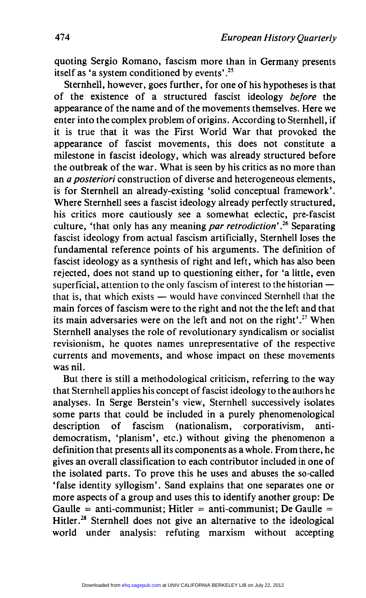quoting Sergio Romano, fascism more than in Germany presents itself as 'a system conditioned by events'. $^{25}$ 

Sternhell, however, goes further, for one of his hypotheses is that of the existence of a structured fascist ideology before the appearance of the name and of the movements themselves. Here we enter into the complex problem of origins. According to Sternhell, if it is true that it was the First World War that provoked the appearance of fascist movements, this does not constitute a milestone in fascist ideology, which was already structured before the outbreak of the war. What is seen by his critics as no more than an *a posteriori* construction of diverse and heterogeneous elements, is for Sternhell an already-existing 'solid conceptual framework'. Where Sternhell sees a fascist ideology already perfectly structured, his critics more cautiously see a somewhat eclectic, pre-fascist culture, 'that only has any meaning par retrodiction'.<sup>26</sup> Separating fascist ideology from actual fascism artificially, Sternhell loses the fundamental reference points of his arguments. The definition of fascist ideology as a synthesis of right and left, which has also been rejected, does not stand up to questioning either, for 'a little, even superficial, attention to the only fascism of interest to the historian  $$ that is, that which exists  $-$  would have convinced Sternhell that the main forces of fascism were to the right and not the the left and that its main adversaries were on the left and not on the right'.<sup>27</sup> When Sternhell analyses the role of revolutionary syndicalism or socialist revisionism, he quotes names unrepresentative of the respective currents and movements, and whose impact on these movements was nil.

But there is still a methodological criticism, referring to the way that Sternhell applies his concept of fascist ideology to the authors he analyses. In Serge Berstein's view, Sternhell successively isolates some parts that could be included in a purely phenomenological description of fascism (nationalism, corporativism, antidescription of fascism (nationalism, corporativism, antidemocratism, 'planism', etc.) without giving the phenomenon a definition that presents all its components as a whole. From there, he gives an overall classification to each contributor included in one of the isolated parts. To prove this he uses and abuses the so-called 'false identity syllogism'. Sand explains that one separates one or more aspects of a group and uses this to identify another group: De Gaulle = anti-communist; Hitler = anti-communist; De Gaulle = Hitler.<sup>28</sup> Sternhell does not give an alternative to the ideological world under analysis: refuting marxism without accepting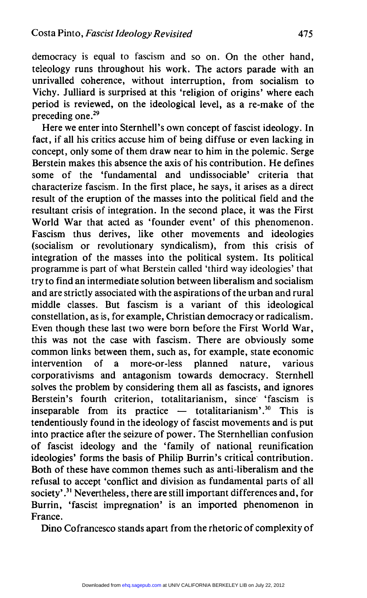democracy is equal to fascism and so on. On the other hand, teleology runs throughout his work. The actors parade with an unrivalled coherence, without interruption, from socialism to Vichy. Julliard is surprised at this 'religion of origins' where each period is reviewed, on the ideological level, as a re-make of the preceding one.<sup>29</sup>

Here we enter into Sternhell's own concept of fascist ideology. In fact, if all his critics accuse him of being diffuse or even lacking in concept, only some of them draw near to him in the polemic. Serge Berstein makes this absence the axis of his contribution. He defines some of the 'fundamental and undissociable' criteria that characterize fascism. In the first place, he says, it arises as a direct result of the eruption of the masses into the political field and the resultant crisis of integration. In the second place, it was the First World War that acted as 'founder event' of this phenomenon. Fascism thus derives, like other movements and ideologies (socialism or revolutionary syndicalism), from this crisis of integration of the masses into the political system. Its political programme is part of what Berstein called 'third way ideologies' that try to find an intermediate solution between liberalism and socialism and are strictly associated with the aspirations of the urban and rural middle classes. But fascism is a variant of this ideological constellation, as is, for example, Christian democracy or radicalism. Even though these last two were born before the First World War, this was not the case with fascism. There are obviously some common links between them, such as, for example, state economic intervention of a more-or-less planned nature, various corporativisms and antagonism towards democracy. Sternhell solves the problem by considering them all as fascists, and ignores Berstein's fourth criterion, totalitarianism, since 'fascism is inseparable from its practice  $-$  totalitarianism'.<sup>30</sup> This is tendentiously found in the ideology of fascist movements and is put into practice after the seizure of power. The Sternhellian confusion of fascist ideology and the 'family of national reunification ideologies' forms the basis of Philip Burrin's critical contribution. Both of these have common themes such as anti-liberalism and the refusal to accept 'conflict and division as fundamental parts of all society'.3' Nevertheless, there are still important differences and, for Burrin, 'fascist impregnation' is an imported phenomenon in France.

Dino Cofrancesco stands apart from the rhetoric of complexity of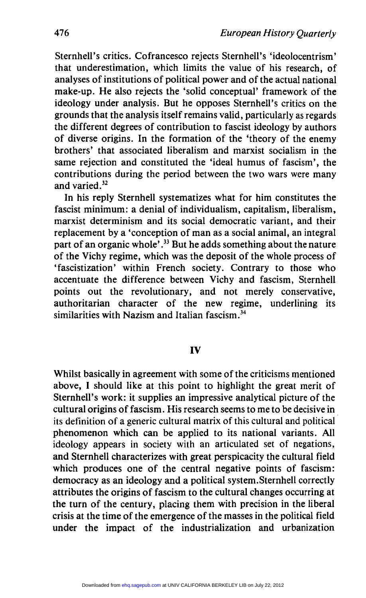Sternhell's critics. Cofrancesco rejects Sternhell's 'ideolocentrism' that underestimation, which limits the value of his research, of analyses of institutions of political power and of the actual national make-up. He also rejects the 'solid conceptual' framework of the ideology under analysis. But he opposes Sternhell's critics on the grounds that the analysis itself remains valid, particularly as regards the different degrees of contribution to fascist ideology by authors of diverse origins. In the formation of the 'theory of the enemy brothers' that associated liberalism and marxist socialism in the same rejection and constituted the 'ideal humus of fascism', the contributions during the period between the two wars were many and varied. $32$ 

In his reply Sternhell systematizes what for him constitutes the fascist minimum: a denial of individualism, capitalism, liberalism, marxist determinism and its social democratic variant, and their replacement by a 'conception of man as a social animal, an integral part of an organic whole'.<sup>33</sup> But he adds something about the nature of the Vichy regime, which was the deposit of the whole process of 'fascistization' within French society. Contrary to those who accentuate the difference between Vichy and fascism, Sternhell points out the revolutionary, and not merely conservative, authoritarian character of the new regime, underlining its similarities with Nazism and Italian fascism. $34$ 

#### IV

Whilst basically in agreement with some of the criticisms mentioned above, I should like at this point to highlight the great merit of Sternhell's work: it supplies an impressive analytical picture of the cultural origins of fascism. His research seems to me to be decisive in its definition of a generic cultural matrix of this cultural and political phenomenon which can be applied to its national variants. All ideology appears in society with an articulated set of negations, and Sternhell characterizes with great perspicacity the cultural field which produces one of the central negative points of fascism: democracy as an ideology and a political system.Sternhell correctly attributes the origins of fascism to the cultural changes occurring at the turn of the century, placing them with precision in the liberal crisis at the time of the emergence of the masses in the political field under the impact of the industrialization and urbanization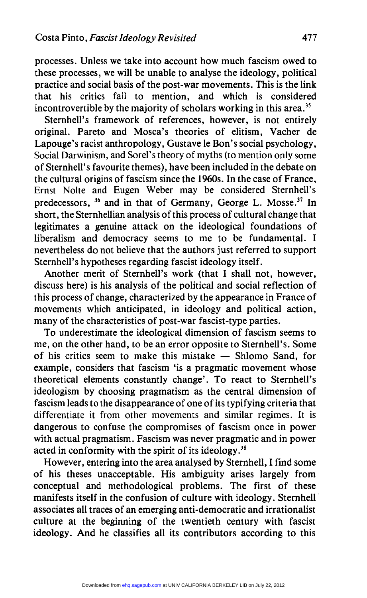processes. Unless we take into account how much fascism owed to these processes, we will be unable to analyse the ideology, political practice and social basis of the post-war movements. This is the link that his critics fail to mention, and which is considered incontrovertible by the majority of scholars working in this area.<sup>35</sup>

Sternhell's framework of references, however, is not entirely original. Pareto and Mosca's theories of elitism, Vacher de Lapouge's racist anthropology, Gustave le Bon's social psychology, Social Darwinism, and Sorel's theory of myths (to mention only some of Sternhell's favourite themes), have been included in the debate on the cultural origins of fascism since the 1960s. In the case of France, Ernst Nolte and Eugen Weber may be considered Sternhell's predecessors, <sup>36</sup> and in that of Germany, George L. Mosse.<sup>37</sup> In short, the Sternhellian analysis of this process of cultural change that legitimates a genuine attack on the ideological foundations of liberalism and democracy seems to me to be fundamental. I nevertheless do not believe that the authors just referred to support Sternhell's hypotheses regarding fascist ideology itself.

Another merit of Sternhell's work (that I shall not, however, discuss here) is his analysis of the political and social reflection of this process of change, characterized by the appearance in France of movements which anticipated, in ideology and political action, many of the characteristics of post-war fascist-type parties.

To underestimate the ideological dimension of fascism seems to me, on the other hand, to be an error opposite to Sternhell's. Some of his critics seem to make this mistake  $-$  Shlomo Sand, for example, considers that fascism 'is a pragmatic movement whose theoretical elements constantly change'. To react to Sternhell's ideologism by choosing pragmatism as the central dimension of fascism leads to the disappearance of one of its typifying criteria that differentiate it from other movements and similar regimes. It is dangerous to confuse the compromises of fascism once in power with actual pragmatism. Fascism was never pragmatic and in power acted in conformity with the spirit of its ideology.<sup>38</sup>

However, entering into the area analysed by Sternhell, I find some of his theses unacceptable. His ambiguity arises largely from conceptual and methodological problems. The first of these manifests itself in the confusion of culture with ideology. Sternhell associates all traces of an emerging anti-democratic and irrationalist culture at the beginning of the twentieth century with fascist ideology. And he classifies all its contributors according to this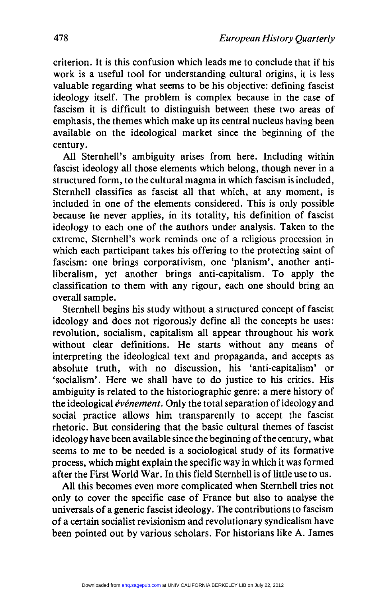criterion. It is this confusion which leads me to conclude that if his work is a useful tool for understanding cultural origins, it is less valuable regarding what seems to be his objective: defining fascist ideology itself. The problem is complex because in the case of fascism it is difficult to distinguish between these two areas of emphasis, the themes which make up its central nucleus having been available on the ideological market since the beginning of the century.

All Sternhell's ambiguity arises from here. Including within fascist ideology all those elements which belong, though never in a structured form, to the cultural magma in which fascism is included, Sternhell classifies as fascist all that which, at any moment, is included in one of the elements considered. This is only possible because he never applies, in its totality, his definition of fascist ideology to each one of the authors under analysis. Taken to the extreme, Sternhell's work reminds one of a religious procession in which each participant takes his offering to the protecting saint of fascism: one brings corporativism, one 'planism', another antiliberalism, yet another brings anti-capitalism. To apply the classification to them with any rigour, each one should bring an overall sample.

Sternhell begins his study without a structured concept of fascist ideology and does not rigorously define all the concepts he uses: revolution, socialism, capitalism all appear throughout his work without clear definitions. He starts without any means of interpreting the ideological text and propaganda, and accepts as absolute truth, with no discussion, his 'anti-capitalism' or 'socialism'. Here we shall have to do justice to his critics. His ambiguity is related to the historiographic genre: a mere history of the ideological événement. Only the total separation of ideology and social practice allows him transparently to accept the fascist rhetoric. But considering that the basic cultural themes of fascist ideology have been available since the beginning of the century, what seems to me to be needed is a sociological study of its formative process, which might explain the specific way in which it was formed after the First World War. In this field Sternhell is of little use to us.

All this becomes even more complicated when Sternhell tries not only to cover the specific case of France but also to analyse the universals of a generic fascist ideology. The contributions to fascism of a certain socialist revisionism and revolutionary syndicalism have been pointed out by various scholars. For historians like A. James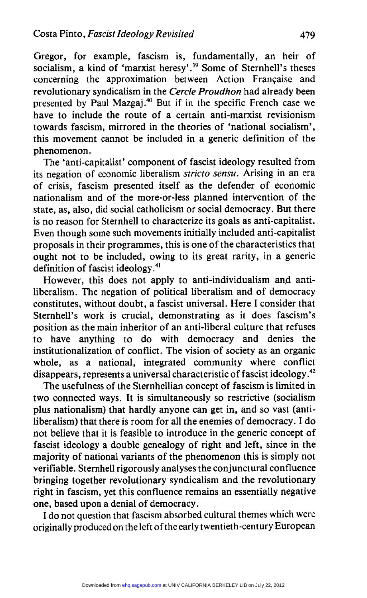Gregor, for example, fascism is, fundamentally, an heir of socialism, a kind of 'marxist heresy'.<sup>39</sup> Some of Sternhell's theses concerning the approximation between Action Francaise and revolutionary syndicalism in the Cercle Proudhon had already been presented by Paul Mazgaj.<sup>40</sup> But if in the specific French case we have to include the route of a certain anti-marxist revisionism towards fascism, mirrored in the theories of 'national socialism', this movement cannot be included in a generic definition of the phenomenon.

The 'anti-capitalist' component of fascist ideology resulted from its negation of economic liberalism stricto sensu. Arising in an era of crisis, fascism presented itself as the defender of economic nationalism and of the more-or-less planned intervention of the state, as, also, did social catholicism or social democracy. But there is no reason for Sternhell to characterize its goals as anti-capitalist. Even though some such movements initially included anti-capitalist proposals in their programmes, this is one of the characteristics that ought not to be included, owing to its great rarity, in a generic definition of fascist ideology.4'

However, this does not apply to anti-individualism and antiliberalism. The negation of political liberalism and of democracy constitutes, without doubt, a fascist universal. Here I consider that Sternhell's work is crucial, demonstrating as it does fascism's position as the main inheritor of an anti-liberal culture that refuses to have anything to do with democracy and denies the institutionalization of conflict. The vision of society as an organic whole, as a national, integrated community where conflict disappears, represents a universal characteristic of fascist ideology.42

The usefulness of the Sternhellian concept of fascism is limited in two connected ways. It is simultaneously so restrictive (socialism plus nationalism) that hardly anyone can get in, and so vast (antiliberalism) that there is room for all the enemies of democracy. I do not believe that it is feasible to introduce in the generic concept of fascist ideology a double genealogy of right and left, since in the majority of national variants of the phenomenon this is simply not verifiable. Sternhell rigorously analyses the conjunctural confluence bringing together revolutionary syndicalism and the revolutionary right in fascism, yet this confluence remains an essentially negative one, based upon a denial of democracy.

I do not question that fascism absorbed cultural themes which were originally produced on the left of the early twentieth-century European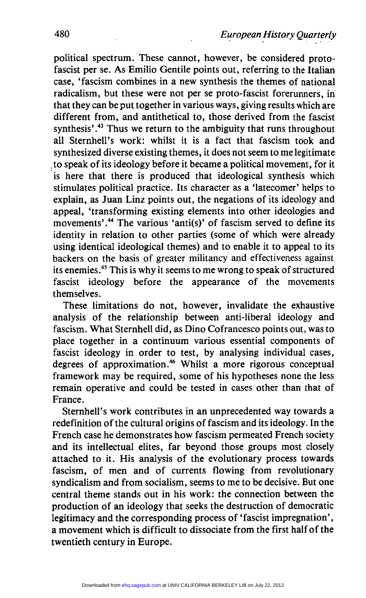political spectrum. These cannot, however, be considered protofascist per se. As Emilio Gentile points out, referring to the Italian case, 'fascism combines in a new synthesis the themes of national radicalism, but these were not per se proto-fascist forerunners, in that they can be put together in various ways, giving results which are different from, and antithetical to, those derived from the fascist synthesis'.<sup>43</sup> Thus we return to the ambiguity that runs throughout all Sternhell's work: whilst it is a fact that fascism took and synthesized diverse existing themes, it does not seem to me legitimate to speak of its ideology before it became a political movement, for it is here that there is produced that ideological synthesis which stimulates political practice. Its character as a 'latecomer' helps to explain, as Juan Linz points out, the negations of its ideology and appeal, 'transforming existing elements into other ideologies and movements'.<sup>44</sup> The various 'anti(s)' of fascism served to define its identity in relation to other parties (some of which were already using identical ideological themes) and to enable it to appeal to its backers on the basis of greater militancy and effectiveness against its enemies.45 This is why it seems to me wrong to speak of structured fascist ideology before the appearance of the movements themselves.

These limitations do not, however, invalidate the exhaustive analysis of the relationship between anti-liberal ideology and fascism. What Sternhell did, as Dino Cofrancesco points out, was to place together in a continuum various essential components of fascist ideology in order to test, by analysing individual cases, degrees of approximation.<sup>46</sup> Whilst a more rigorous conceptual framework may be required, some of his hypotheses none the less remain operative and could be tested in cases other than that of France.

Sternhell's work contributes in an unprecedented way towards a redefinition of the cultural origins of fascism and its ideology. In the French case he demonstrates how fascism permeated French society and its intellectual elites, far beyond those groups most closely attached to it. His analysis of the evolutionary process towards fascism, of men and of currents flowing from revolutionary syndicalism and from socialism, seems to me to be decisive. But one central theme stands out in his work: the connection between the production of an ideology that seeks the destruction of democratic legitimacy and the corresponding process of 'fascist impregnation', a movement which is difficult to dissociate from the first half of the twentieth century in Europe.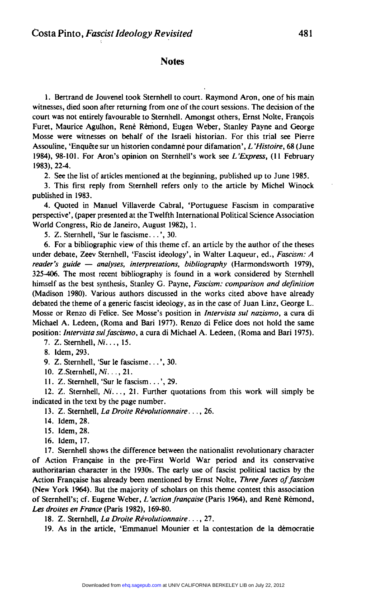#### **Notes**

1. Bertrand de Jouvenel took Sternhell to court. Raymond Aron, one of his main witnesses, died soon after returning from one of the court sessions. The decision of the court was not entirely favourable to Sternhell. Amongst others, Ernst Nolte, François Furet, Maurice Agulhon, René Rémond, Eugen Weber, Stanley Payne and George Mosse were witnesses on behalf of the Israeli historian. For this trial see Pierre Assouline, 'Enquête sur un historien condamné pour difamation', L'Histoire, 68 (June 1984), 98-101. For Aron's opinion on Sternhell's work see L'Express, (11 February 1983), 22-4.

2. See the list of articles mentioned at the beginning, published up to June 1985.

3. This first reply from Sternhell refers only to the article by Michel Winock published in 1983.

4. Quoted in Manuel Villaverde Cabral, 'Portuguese Fascism in comparative perspective', (paper presented at the Twelfth International Political Science Association World Congress, Rio de Janeiro, August 1982), 1.

5. Z. Sternhell, 'Sur le fascisme...', 30.

6. For a bibliographic view of this theme cf. an article by the author of the theses under debate, Zeev Sternhell, 'Fascist ideology', in Walter Laqueur, ed., Fascism: A reader's guide  $-$  analyses, interpretations, bibliography (Harmondsworth 1979), 325-406. The most recent bibliography is found in a work considered by Sternhell himself as the best synthesis, Stanley G. Payne, Fascism: comparison and definition (Madison 1980). Various authors discussed in the works cited above have already debated the theme of a generic fascist ideology, as in the case of Juan Linz, George L. Mosse or Renzo di Felice. See Mosse's position in Intervista sul nazismo, a cura di Michael A. Ledeen, (Roma and Bari 1977). Renzo di Felice does not hold the same position: *Intervista sul fascismo*, a cura di Michael A. Ledeen, (Roma and Bari 1975).<br>7. Z. Sternhell, *Ni...*, 15.

8. Idem, 293.

9. Z. Sternhell, 'Sur le fascisme...', 30.

10. Z.Sternhell, Ni..., 21.

11. Z. Sternhell, 'Sur le fascism...', 29.

12. Z. Sternhell, Ni... , 21. Further quotations from this work will simply be indicated in the text by the page number. ition: *Intervista sul fascismo*, a cura di Michael A. Ledeen, (Roma a<br>
1. Z. Sternhell, Ni..., 15.<br>
8. Idem, 293.<br>
9. Z. Sternhell, 'Sur le fascisme...', 30.<br>
10. Z.Sternhell, Ni..., 21.<br>
11. Z. Sternhell, Ni..., 21. Furt

- 14. Idem, 28.
- 15. Idem, 28.
- 16. Idem, 17.

17. Sternhell shows the difference between the nationalist revolutionary character of Action Française in the pre-First World War period and its conservative authoritarian character in the 1930s. The early use of fascist political tactics by the Action Française has already been mentioned by Ernst Nolte, Three faces of fascism (New York 1964). But the majority of scholars on this theme contest this association of Sternhell's; cf. Eugene Weber, L'action française (Paris 1964), and René Rémond, Les droites en France (Paris 1982), 169-80. 16. Idem, 17.<br>
17. Sternhell shows the difference between the nationalist revolution<br>
Action Française in the pre-First World War period and its<br>
noritarian character in the 1930s. The early use of fascist political<br>
ion

19. As in the article, 'Emmanuel Mounier et la contestation de la démocratie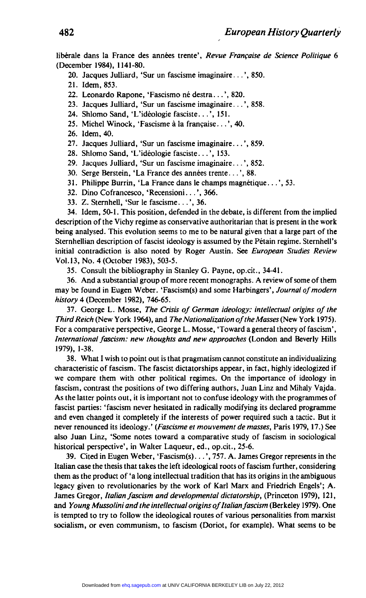libérale dans la France des années trente', Revue Française de Science Politique 6 (December 1984), 1141-80.

- 20. Jacques Julliard, 'Sur un fascisme imaginaire...', 850.
- 21. Idem, 853.
- 22. Leonardo Rapone, 'Fascismo né destra...', 820.
- 23. Jacques Julliard, 'Sur un fascisme imaginaire...', 858.
- 24. Shlomo Sand, 'L'idéologie fasciste...', 151.
- 25. Michel Winock, 'Fascisme à la française...', 40.
- 26. Idem, 40.
- 27. Jacques Julliard, 'Sur un fascisme imaginaire...', 859.
- 28. Shlomo Sand, 'L'idéologie fasciste...', 153.
- 29. Jacques Julliard, 'Sur un fascisme imaginaire...', 852.
- 30. Serge Berstein, 'La France des années trente...', 88.
- 31. Philippe Burrin, 'La France dans le champs magnétique...', 53.
- 32. Dino Cofrancesco, 'Recensioni...', 366.
- 33. Z. Sternhell, 'Sur le fascisme...', 36.

34. Idem, 50-1. This position, defended in the debate, is different from the implied description of the Vichy regime as conservative authoritarian that is present in the work being analysed. This evolution seems to me to be natural given that a large part of the Sternhellian description of fascist ideology is assumed by the Pétain regime. Sternhell's initial contradiction is also noted by Roger Austin. See European Studies Review Vol.13, No. 4 (October 1983), 503-5.

35. Consult the bibliography in Stanley G. Payne, op.cit., 34-41.

36. And a substantial group of more recent monographs. A review of some of them may be found in Eugen Weber. 'Fascism(s) and some Harbingers', Journal of modern history 4 (December 1982), 746-65.

37. George L. Mosse, The Crisis of German ideology: intellectual origins of the Third Reich (New York 1964), and The Nationalization of the Masses (New York 1975). For a comparative perspective, George L. Mosse, 'Toward a general theory of fascism', International fascism: new thoughts and new approaches (London and Beverly Hills 1979), 1-38.

38. What I wish to point out is that pragmatism cannot constitute an individualizing characteristic of fascism. The fascist dictatorships appear, in fact, highly ideologized if we compare them with other political regimes. On the importance of ideology in fascism, contrast the positions of two differing authors, Juan Linz and Mihaly Vajda. As the latter points out, it is important not to confuse ideology with the programmes of fascist parties: 'fascism never hesitated in radically modifying its declared programme and even changed it completely if the interests of power required such a tactic. But it never renounced its ideology.' (Fascisme et mouvement de masses, Paris 1979, 17.) See also Juan Linz, 'Some notes toward a comparative study of fascism in sociological historical perspective', in Walter Laqueur, ed., op.cit., 25-6.

39. Cited in Eugen Weber, 'Fascism(s)...', 757. A. James Gregor represents in the Italian case the thesis that takes the left ideological roots of fascism further, considering them as the product of 'a long intellectual tradition that has its origins in the ambiguous legacy given to revolutionaries by the work of Karl Marx and Friedrich Engels'; A. James Gregor, Italian fascism and developmental dictatorship, (Princeton 1979), 121, and Young Mussolini and the intellectual origins of Italian fascism (Berkeley 1979). One is tempted to try to follow the ideological routes of various personalities from marxist socialism, or even communism, to fascism (Doriot, for example). What seems to be